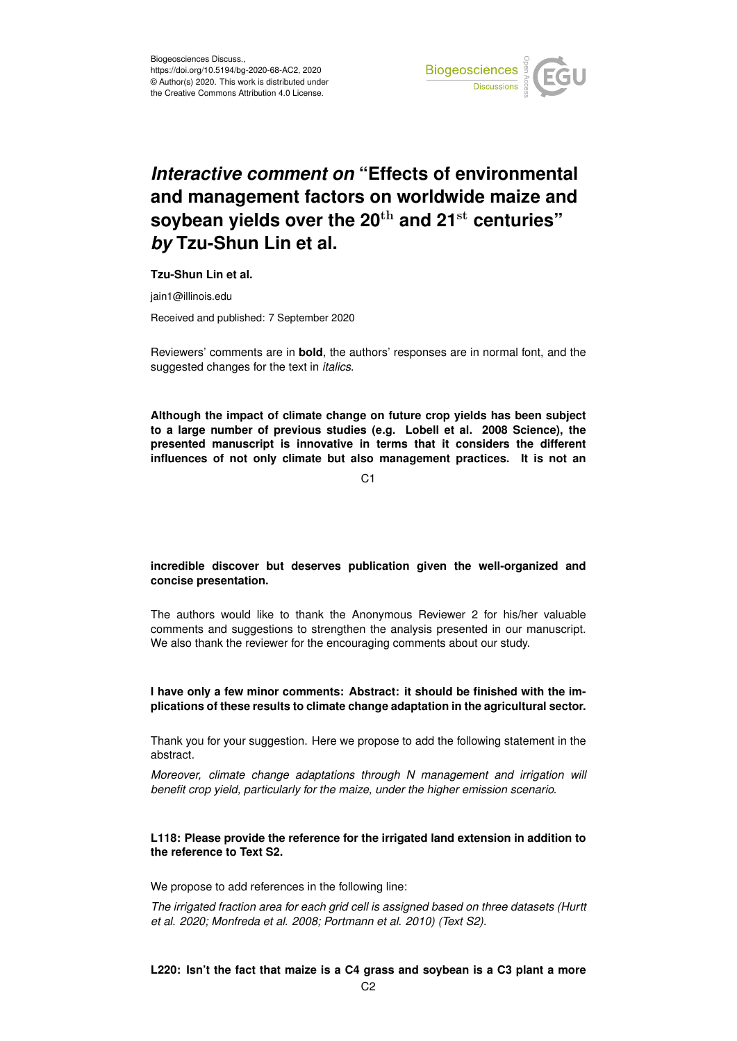

# *Interactive comment on* **"Effects of environmental and management factors on worldwide maize and soybean yields over the 20**th **and 21**st **centuries"** *by* **Tzu-Shun Lin et al.**

## **Tzu-Shun Lin et al.**

jain1@illinois.edu

Received and published: 7 September 2020

Reviewers' comments are in **bold**, the authors' responses are in normal font, and the suggested changes for the text in *italics*.

**Although the impact of climate change on future crop yields has been subject to a large number of previous studies (e.g. Lobell et al. 2008 Science), the presented manuscript is innovative in terms that it considers the different influences of not only climate but also management practices. It is not an**

 $C<sub>1</sub>$ 

# **incredible discover but deserves publication given the well-organized and concise presentation.**

The authors would like to thank the Anonymous Reviewer 2 for his/her valuable comments and suggestions to strengthen the analysis presented in our manuscript. We also thank the reviewer for the encouraging comments about our study.

# **I have only a few minor comments: Abstract: it should be finished with the implications of these results to climate change adaptation in the agricultural sector.**

Thank you for your suggestion. Here we propose to add the following statement in the abstract.

*Moreover, climate change adaptations through N management and irrigation will benefit crop yield, particularly for the maize, under the higher emission scenario.*

# **L118: Please provide the reference for the irrigated land extension in addition to the reference to Text S2.**

We propose to add references in the following line:

*The irrigated fraction area for each grid cell is assigned based on three datasets (Hurtt et al. 2020; Monfreda et al. 2008; Portmann et al. 2010) (Text S2).*

## **L220: Isn't the fact that maize is a C4 grass and soybean is a C3 plant a more**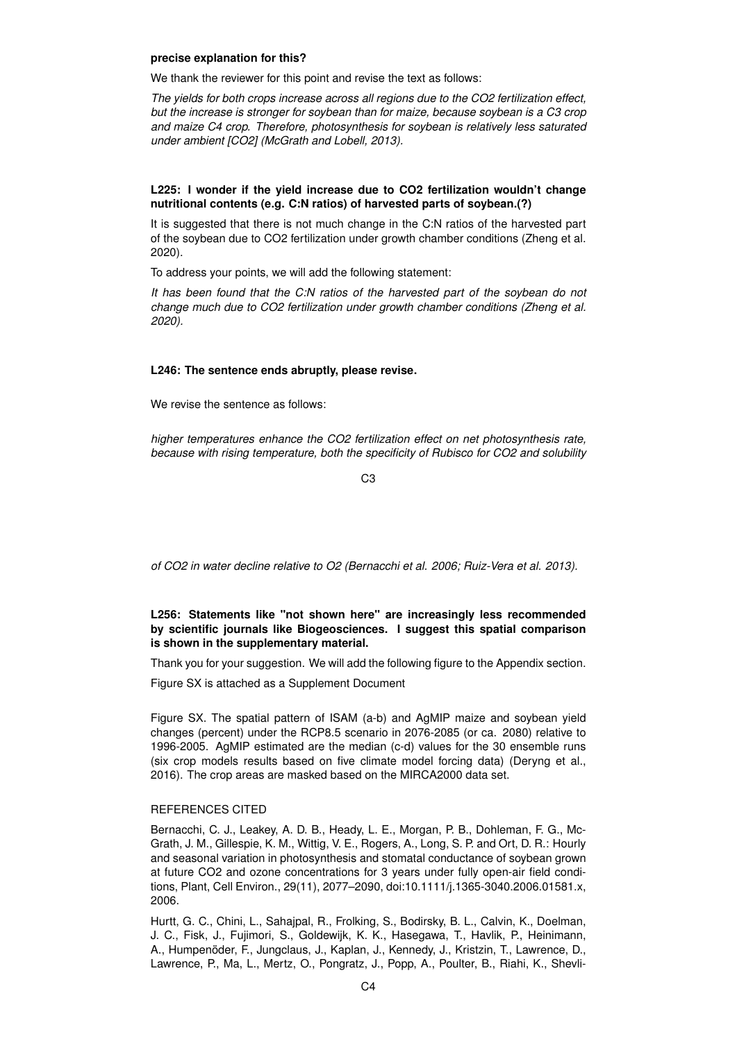#### **precise explanation for this?**

We thank the reviewer for this point and revise the text as follows:

*The yields for both crops increase across all regions due to the CO2 fertilization effect, but the increase is stronger for soybean than for maize, because soybean is a C3 crop and maize C4 crop. Therefore, photosynthesis for soybean is relatively less saturated under ambient [CO2] (McGrath and Lobell, 2013).*

## **L225: I wonder if the yield increase due to CO2 fertilization wouldn't change nutritional contents (e.g. C:N ratios) of harvested parts of soybean.(?)**

It is suggested that there is not much change in the C:N ratios of the harvested part of the soybean due to CO2 fertilization under growth chamber conditions (Zheng et al. 2020).

To address your points, we will add the following statement:

*It has been found that the C:N ratios of the harvested part of the soybean do not change much due to CO2 fertilization under growth chamber conditions (Zheng et al. 2020).*

## **L246: The sentence ends abruptly, please revise.**

We revise the sentence as follows:

*higher temperatures enhance the CO2 fertilization effect on net photosynthesis rate, because with rising temperature, both the specificity of Rubisco for CO2 and solubility*

 $C3$ 

*of CO2 in water decline relative to O2 (Bernacchi et al. 2006; Ruiz-Vera et al. 2013).*

# **L256: Statements like "not shown here" are increasingly less recommended by scientific journals like Biogeosciences. I suggest this spatial comparison is shown in the supplementary material.**

Thank you for your suggestion. We will add the following figure to the Appendix section.

Figure SX is attached as a Supplement Document

Figure SX. The spatial pattern of ISAM (a-b) and AgMIP maize and soybean yield changes (percent) under the RCP8.5 scenario in 2076-2085 (or ca. 2080) relative to 1996-2005. AgMIP estimated are the median (c-d) values for the 30 ensemble runs (six crop models results based on five climate model forcing data) (Deryng et al., 2016). The crop areas are masked based on the MIRCA2000 data set.

# REFERENCES CITED

Bernacchi, C. J., Leakey, A. D. B., Heady, L. E., Morgan, P. B., Dohleman, F. G., Mc-Grath, J. M., Gillespie, K. M., Wittig, V. E., Rogers, A., Long, S. P. and Ort, D. R.: Hourly and seasonal variation in photosynthesis and stomatal conductance of soybean grown at future CO2 and ozone concentrations for 3 years under fully open-air field conditions, Plant, Cell Environ., 29(11), 2077–2090, doi:10.1111/j.1365-3040.2006.01581.x, 2006.

Hurtt, G. C., Chini, L., Sahajpal, R., Frolking, S., Bodirsky, B. L., Calvin, K., Doelman, J. C., Fisk, J., Fujimori, S., Goldewijk, K. K., Hasegawa, T., Havlik, P., Heinimann, A., Humpenöder, F., Jungclaus, J., Kaplan, J., Kennedy, J., Kristzin, T., Lawrence, D., Lawrence, P., Ma, L., Mertz, O., Pongratz, J., Popp, A., Poulter, B., Riahi, K., Shevli